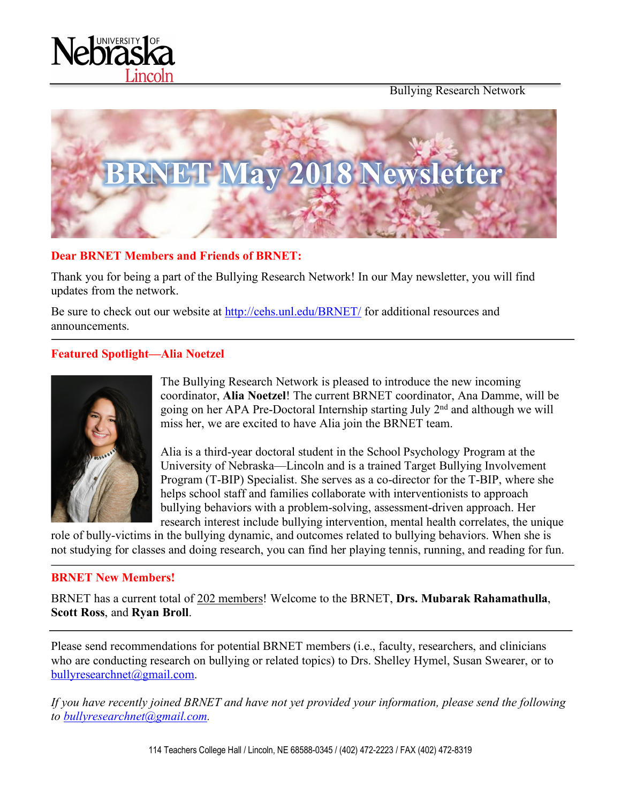



#### **Dear BRNET Members and Friends of BRNET:**

Thank you for being a part of the Bullying Research Network! In our May newsletter, you will find updates from the network.

Be sure to check out our website at http://cehs.unl.edu/BRNET/ for additional resources and announcements.

## **Featured Spotlight—Alia Noetzel**



The Bullying Research Network is pleased to introduce the new incoming coordinator, **Alia Noetzel**! The current BRNET coordinator, Ana Damme, will be going on her APA Pre-Doctoral Internship starting July 2nd and although we will miss her, we are excited to have Alia join the BRNET team.

Alia is a third-year doctoral student in the School Psychology Program at the University of Nebraska—Lincoln and is a trained Target Bullying Involvement Program (T-BIP) Specialist. She serves as a co-director for the T-BIP, where she helps school staff and families collaborate with interventionists to approach bullying behaviors with a problem-solving, assessment-driven approach. Her research interest include bullying intervention, mental health correlates, the unique

role of bully-victims in the bullying dynamic, and outcomes related to bullying behaviors. When she is not studying for classes and doing research, you can find her playing tennis, running, and reading for fun.

#### **BRNET New Members!**

BRNET has a current total of 202 members! Welcome to the BRNET, **Drs. Mubarak Rahamathulla**, **Scott Ross**, and **Ryan Broll**.

Please send recommendations for potential BRNET members (i.e., faculty, researchers, and clinicians who are conducting research on bullying or related topics) to Drs. Shelley Hymel, Susan Swearer, or to bullyresearchnet@gmail.com.

*If you have recently joined BRNET and have not yet provided your information, please send the following to bullyresearchnet@gmail.com.*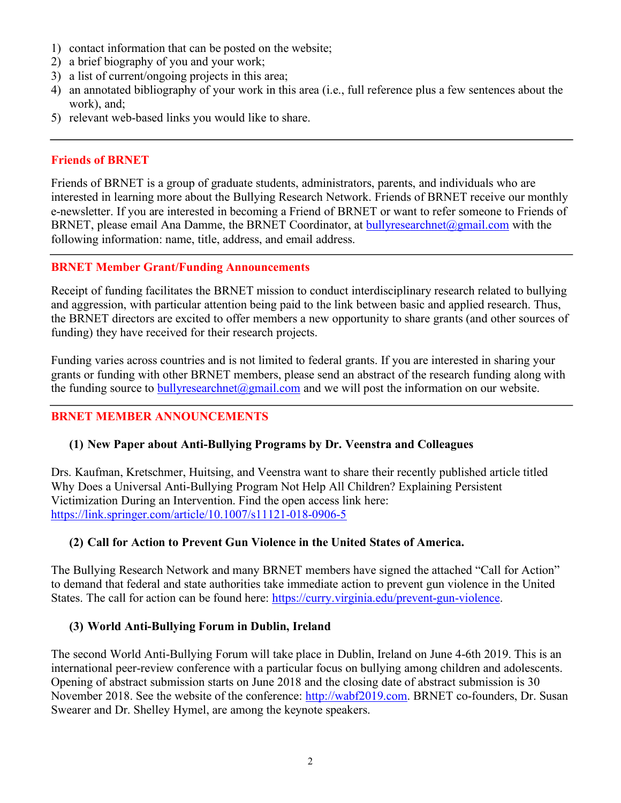- 1) contact information that can be posted on the website;
- 2) a brief biography of you and your work;
- 3) a list of current/ongoing projects in this area;
- 4) an annotated bibliography of your work in this area (i.e., full reference plus a few sentences about the work), and;
- 5) relevant web-based links you would like to share.

#### **Friends of BRNET**

Friends of BRNET is a group of graduate students, administrators, parents, and individuals who are interested in learning more about the Bullying Research Network. Friends of BRNET receive our monthly e-newsletter. If you are interested in becoming a Friend of BRNET or want to refer someone to Friends of BRNET, please email Ana Damme, the BRNET Coordinator, at bullyresearchnet@gmail.com with the following information: name, title, address, and email address.

#### **BRNET Member Grant/Funding Announcements**

Receipt of funding facilitates the BRNET mission to conduct interdisciplinary research related to bullying and aggression, with particular attention being paid to the link between basic and applied research. Thus, the BRNET directors are excited to offer members a new opportunity to share grants (and other sources of funding) they have received for their research projects.

Funding varies across countries and is not limited to federal grants. If you are interested in sharing your grants or funding with other BRNET members, please send an abstract of the research funding along with the funding source to bully research net  $\omega$  gmail.com and we will post the information on our website.

## **BRNET MEMBER ANNOUNCEMENTS**

## **(1) New Paper about Anti-Bullying Programs by Dr. Veenstra and Colleagues**

Drs. Kaufman, Kretschmer, Huitsing, and Veenstra want to share their recently published article titled Why Does a Universal Anti-Bullying Program Not Help All Children? Explaining Persistent Victimization During an Intervention. Find the open access link here: https://link.springer.com/article/10.1007/s11121-018-0906-5

## **(2) Call for Action to Prevent Gun Violence in the United States of America.**

The Bullying Research Network and many BRNET members have signed the attached "Call for Action" to demand that federal and state authorities take immediate action to prevent gun violence in the United States. The call for action can be found here: https://curry.virginia.edu/prevent-gun-violence.

#### **(3) World Anti-Bullying Forum in Dublin, Ireland**

The second World Anti-Bullying Forum will take place in Dublin, Ireland on June 4-6th 2019. This is an international peer-review conference with a particular focus on bullying among children and adolescents. Opening of abstract submission starts on June 2018 and the closing date of abstract submission is 30 November 2018. See the website of the conference: http://wabf2019.com. BRNET co-founders, Dr. Susan Swearer and Dr. Shelley Hymel, are among the keynote speakers.